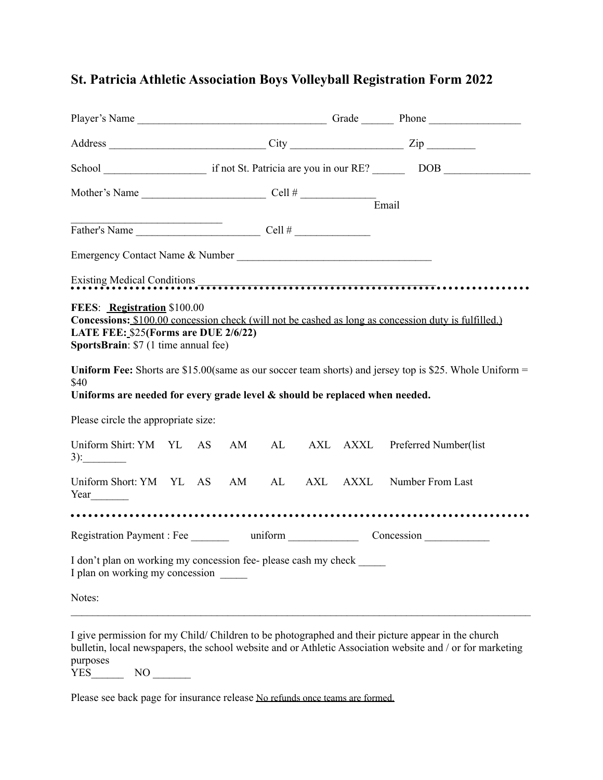## **St. Patricia Athletic Association Boys Volleyball Registration Form 2022**

| Mother's Name $\frac{C \text{ell } \#}{C \text{ell } \# \#}$                                                |  |  |  |  |  |  | Email                                                                                                                                                                                                                               |
|-------------------------------------------------------------------------------------------------------------|--|--|--|--|--|--|-------------------------------------------------------------------------------------------------------------------------------------------------------------------------------------------------------------------------------------|
| Father's Name $\qquad \qquad \qquad \qquad \qquad \text{Cell } \#$                                          |  |  |  |  |  |  |                                                                                                                                                                                                                                     |
| Emergency Contact Name & Number                                                                             |  |  |  |  |  |  |                                                                                                                                                                                                                                     |
|                                                                                                             |  |  |  |  |  |  | Existing Medical Conditions <b>CONSERVIER CONSERVERS</b> CONTROL CONTROL CONTROL CONTROL CONTROL CONTROL CONTROL CONTROL CONTROL CONTROL CONTROL CONTROL CONTROL CONTROL CONTROL CONTROL CONTROL CONTROL CONTROL CONTROL CONTROL CO |
| FEES: Registration \$100.00<br>LATE FEE: \$25(Forms are DUE 2/6/22)<br>SportsBrain: \$7 (1 time annual fee) |  |  |  |  |  |  | Concessions: \$100.00 concession check (will not be cashed as long as concession duty is fulfilled.)                                                                                                                                |
| \$40<br>Uniforms are needed for every grade level & should be replaced when needed.                         |  |  |  |  |  |  | Uniform Fee: Shorts are \$15.00(same as our soccer team shorts) and jersey top is \$25. Whole Uniform $=$                                                                                                                           |
| Please circle the appropriate size:                                                                         |  |  |  |  |  |  |                                                                                                                                                                                                                                     |
| $3)$ :                                                                                                      |  |  |  |  |  |  | Uniform Shirt: YM YL AS AM AL AXL AXXL Preferred Number(list                                                                                                                                                                        |
|                                                                                                             |  |  |  |  |  |  | Uniform Short: YM YL AS AM AL AXL AXXL Number From Last                                                                                                                                                                             |
| Registration Payment : Fee ________ uniform ___________________ Concession ____________                     |  |  |  |  |  |  |                                                                                                                                                                                                                                     |
| I don't plan on working my concession fee- please cash my check<br>I plan on working my concession          |  |  |  |  |  |  |                                                                                                                                                                                                                                     |
| Notes:                                                                                                      |  |  |  |  |  |  |                                                                                                                                                                                                                                     |
|                                                                                                             |  |  |  |  |  |  | I give permission for my Child/Children to be photographed and their picture appear in the church<br>bulletin, local newspapers, the school website and or Athletic Association website and / or for marketing                      |

purposes YES NO

Please see back page for insurance release No refunds once teams are formed.